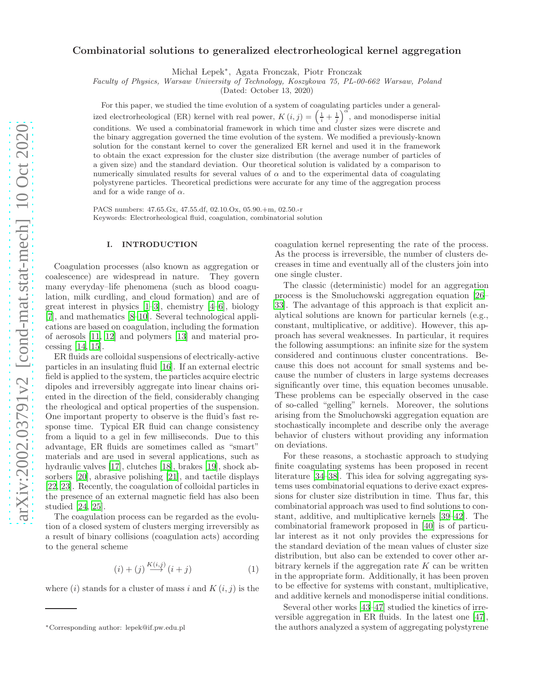# Combinatorial solutions to generalized electrorheological kernel aggregation

Michał Lepek\*, Agata Fronczak, Piotr Fronczak

*Faculty of Physics, Warsaw University of Technology, Koszykowa 75, PL-00-662 Warsaw, Poland*

(Dated: October 13, 2020)

For this paper, we studied the time evolution of a system of coagulating particles under a generalized electrorheological (ER) kernel with real power,  $K(i, j) = \left(\frac{1}{i} + \frac{1}{j}\right)^{\alpha}$ , and monodisperse initial conditions. We used a combinatorial framework in which time and cluster sizes were discrete and the binary aggregation governed the time evolution of the system. We modified a previously-known solution for the constant kernel to cover the generalized ER kernel and used it in the framework to obtain the exact expression for the cluster size distribution (the average number of particles of a given size) and the standard deviation. Our theoretical solution is validated by a comparison to numerically simulated results for several values of  $\alpha$  and to the experimental data of coagulating polystyrene particles. Theoretical predictions were accurate for any time of the aggregation process and for a wide range of  $\alpha$ .

PACS numbers: 47.65.Gx, 47.55.df, 02.10.Ox, 05.90.+m, 02.50.-r Keywords: Electrorheological fluid, coagulation, combinatorial solution

### I. INTRODUCTION

Coagulation processes (also known as aggregation or coalescence) are widespread in nature. They govern many everyday–life phenomena (such as blood coagulation, milk curdling, and cloud formation) and are of great interest in physics [\[1](#page-7-0)[–3](#page-7-1)], chemistry [\[4](#page-7-2)[–6\]](#page-7-3), biology [\[7\]](#page-7-4), and mathematics [\[8](#page-7-5)[–10\]](#page-7-6). Several technological applications are based on coagulation, including the formation of aerosols [\[11](#page-7-7), [12\]](#page-7-8) and polymers [\[13](#page-7-9)] and material processing [\[14](#page-7-10), [15](#page-7-11)].

ER fluids are colloidal suspensions of electrically-active particles in an insulating fluid [\[16\]](#page-7-12). If an external electric field is applied to the system, the particles acquire electric dipoles and irreversibly aggregate into linear chains oriented in the direction of the field, considerably changing the rheological and optical properties of the suspension. One important property to observe is the fluid's fast response time. Typical ER fluid can change consistency from a liquid to a gel in few milliseconds. Due to this advantage, ER fluids are sometimes called as "smart" materials and are used in several applications, such as hydraulic valves [\[17\]](#page-7-13), clutches [\[18\]](#page-7-14), brakes [\[19\]](#page-7-15), shock absorbers [\[20](#page-7-16)], abrasive polishing [\[21](#page-7-17)], and tactile displays [\[22,](#page-7-18) [23](#page-7-19)]. Recently, the coagulation of colloidal particles in the presence of an external magnetic field has also been studied [\[24,](#page-7-20) [25\]](#page-7-21).

The coagulation process can be regarded as the evolution of a closed system of clusters merging irreversibly as a result of binary collisions (coagulation acts) according to the general scheme

<span id="page-0-0"></span>
$$
(i) + (j) \xrightarrow{K(i,j)} (i+j) \tag{1}
$$

where  $(i)$  stands for a cluster of mass i and  $K(i, j)$  is the

coagulation kernel representing the rate of the process. As the process is irreversible, the number of clusters decreases in time and eventually all of the clusters join into one single cluster.

The classic (deterministic) model for an aggregation process is the Smoluchowski aggregation equation [\[26](#page-7-22)– [33](#page-7-23)]. The advantage of this approach is that explicit analytical solutions are known for particular kernels (e.g., constant, multiplicative, or additive). However, this approach has several weaknesses. In particular, it requires the following assumptions: an infinite size for the system considered and continuous cluster concentrations. Because this does not account for small systems and because the number of clusters in large systems decreases significantly over time, this equation becomes unusable. These problems can be especially observed in the case of so-called "gelling" kernels. Moreover, the solutions arising from the Smoluchowski aggregation equation are stochastically incomplete and describe only the average behavior of clusters without providing any information on deviations.

For these reasons, a stochastic approach to studying finite coagulating systems has been proposed in recent literature [\[34](#page-7-24)[–38\]](#page-7-25). This idea for solving aggregating systems uses combinatorial equations to derive exact expressions for cluster size distribution in time. Thus far, this combinatorial approach was used to find solutions to constant, additive, and multiplicative kernels [\[39](#page-7-26)[–42\]](#page-7-27). The combinatorial framework proposed in [\[40\]](#page-10-0) is of particular interest as it not only provides the expressions for the standard deviation of the mean values of cluster size distribution, but also can be extended to cover other arbitrary kernels if the aggregation rate  $K$  can be written in the appropriate form. Additionally, it has been proven to be effective for systems with constant, multiplicative, and additive kernels and monodisperse initial conditions.

Several other works [\[43](#page-7-28)[–47\]](#page-8-0) studied the kinetics of irreversible aggregation in ER fluids. In the latest one [\[47\]](#page-8-0), the authors analyzed a system of aggregating polystyrene

<sup>∗</sup>Corresponding author: lepek@if.pw.edu.pl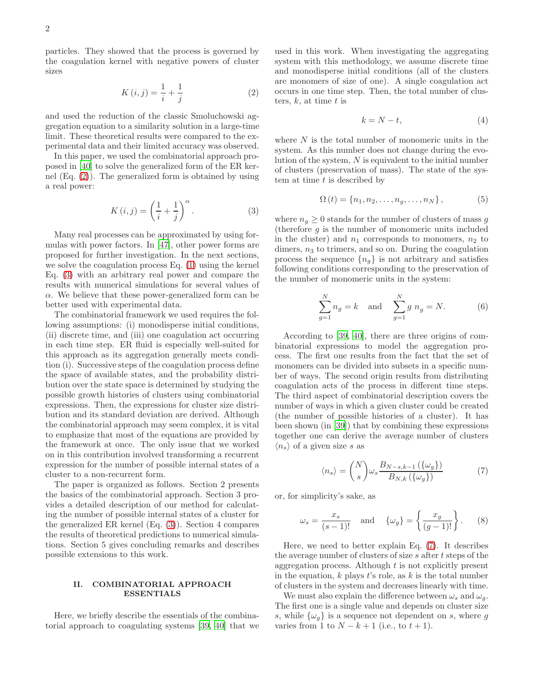particles. They showed that the process is governed by the coagulation kernel with negative powers of cluster sizes

<span id="page-1-0"></span>
$$
K(i,j) = \frac{1}{i} + \frac{1}{j}
$$
 (2)

and used the reduction of the classic Smoluchowski aggregation equation to a similarity solution in a large-time limit. These theoretical results were compared to the experimental data and their limited accuracy was observed.

In this paper, we used the combinatorial approach proposed in [\[40\]](#page-10-0) to solve the generalized form of the ER kernel (Eq. [\(2\)](#page-1-0)). The generalized form is obtained by using a real power:

<span id="page-1-1"></span>
$$
K(i,j) = \left(\frac{1}{i} + \frac{1}{j}\right)^{\alpha}.
$$
 (3)

Many real processes can be approximated by using formulas with power factors. In [\[47](#page-8-0)], other power forms are proposed for further investigation. In the next sections, we solve the coagulation process Eq. [\(1\)](#page-0-0) using the kernel Eq. [\(3\)](#page-1-1) with an arbitrary real power and compare the results with numerical simulations for several values of  $\alpha$ . We believe that these power-generalized form can be better used with experimental data.

The combinatorial framework we used requires the following assumptions: (i) monodisperse initial conditions, (ii) discrete time, and (iii) one coagulation act occurring in each time step. ER fluid is especially well-suited for this approach as its aggregation generally meets condition (i). Successive steps of the coagulation process define the space of available states, and the probability distribution over the state space is determined by studying the possible growth histories of clusters using combinatorial expressions. Then, the expressions for cluster size distribution and its standard deviation are derived. Although the combinatorial approach may seem complex, it is vital to emphasize that most of the equations are provided by the framework at once. The only issue that we worked on in this contribution involved transforming a recurrent expression for the number of possible internal states of a cluster to a non-recurrent form.

The paper is organized as follows. Section 2 presents the basics of the combinatorial approach. Section 3 provides a detailed description of our method for calculating the number of possible internal states of a cluster for the generalized ER kernel (Eq. [\(3\)](#page-1-1)). Section 4 compares the results of theoretical predictions to numerical simulations. Section 5 gives concluding remarks and describes possible extensions to this work.

# II. COMBINATORIAL APPROACH ESSENTIALS

Here, we briefly describe the essentials of the combinatorial approach to coagulating systems [\[39,](#page-7-26) [40\]](#page-10-0) that we used in this work. When investigating the aggregating system with this methodology, we assume discrete time and monodisperse initial conditions (all of the clusters are monomers of size of one). A single coagulation act occurs in one time step. Then, the total number of clusters,  $k$ , at time  $t$  is

$$
k = N - t,\t\t(4)
$$

where  $N$  is the total number of monomeric units in the system. As this number does not change during the evolution of the system,  $N$  is equivalent to the initial number of clusters (preservation of mass). The state of the system at time  $t$  is described by

$$
\Omega(t) = \{n_1, n_2, \dots, n_g, \dots, n_N\},\tag{5}
$$

where  $n_g \geq 0$  stands for the number of clusters of mass g (therefore  $g$  is the number of monomeric units included in the cluster) and  $n_1$  corresponds to monomers,  $n_2$  to dimers,  $n_3$  to trimers, and so on. During the coagulation process the sequence  $\{n_q\}$  is not arbitrary and satisfies following conditions corresponding to the preservation of the number of monomeric units in the system:

<span id="page-1-3"></span>
$$
\sum_{g=1}^{N} n_g = k \text{ and } \sum_{g=1}^{N} g n_g = N.
$$
 (6)

According to [\[39,](#page-7-26) [40](#page-10-0)], there are three origins of combinatorial expressions to model the aggregation process. The first one results from the fact that the set of monomers can be divided into subsets in a specific number of ways. The second origin results from distributing coagulation acts of the process in different time steps. The third aspect of combinatorial description covers the number of ways in which a given cluster could be created (the number of possible histories of a cluster). It has been shown (in [\[39\]](#page-7-26)) that by combining these expressions together one can derive the average number of clusters  $\langle n_s \rangle$  of a given size s as

<span id="page-1-2"></span>
$$
\langle n_s \rangle = {N \choose s} \omega_s \frac{B_{N-s,k-1}(\{\omega_g\})}{B_{N,k}(\{\omega_g\})}
$$
(7)

or, for simplicity's sake, as

$$
\omega_s = \frac{x_s}{(s-1)!} \quad \text{and} \quad \{\omega_g\} = \left\{\frac{x_g}{(g-1)!}\right\}.
$$
 (8)

Here, we need to better explain Eq. [\(7\)](#page-1-2). It describes the average number of clusters of size  $s$  after  $t$  steps of the aggregation process. Although  $t$  is not explicitly present in the equation,  $k$  plays  $t$ 's role, as  $k$  is the total number of clusters in the system and decreases linearly with time.

We must also explain the difference between  $\omega_s$  and  $\omega_q$ . The first one is a single value and depends on cluster size s, while  $\{\omega_a\}$  is a sequence not dependent on s, where g varies from 1 to  $N - k + 1$  (i.e., to  $t + 1$ ).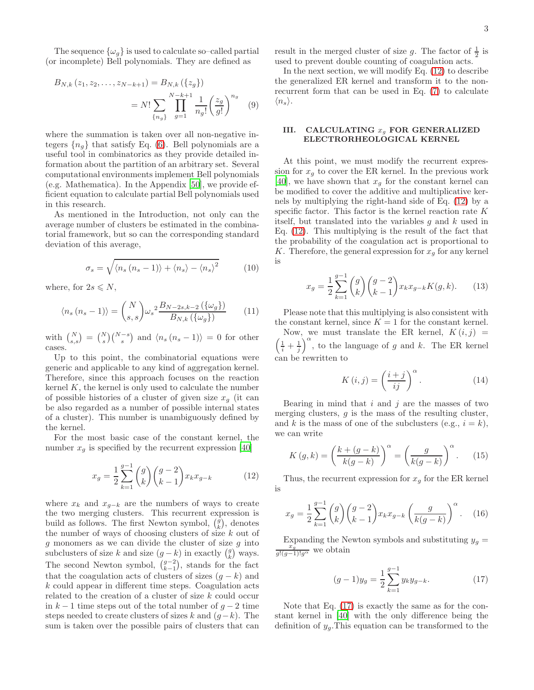The sequence  $\{\omega_g\}$  is used to calculate so–called partial (or incomplete) Bell polynomials. They are defined as

$$
B_{N,k}(z_1, z_2, \dots, z_{N-k+1}) = B_{N,k}(\{z_g\})
$$
  
=  $N! \sum_{\{n_g\}} \prod_{g=1}^{N-k+1} \frac{1}{n_g!} \left(\frac{z_g}{g!}\right)^{n_g}$  (9)

where the summation is taken over all non-negative integers  $\{n_a\}$  that satisfy Eq. [\(6\)](#page-1-3). Bell polynomials are a useful tool in combinatorics as they provide detailed information about the partition of an arbitrary set. Several computational environments implement Bell polynomials (e.g. Mathematica). In the Appendix [\[50](#page-8-1)], we provide efficient equation to calculate partial Bell polynomials used in this research.

As mentioned in the Introduction, not only can the average number of clusters be estimated in the combinatorial framework, but so can the corresponding standard deviation of this average,

<span id="page-2-2"></span>
$$
\sigma_s = \sqrt{\langle n_s (n_s - 1) \rangle + \langle n_s \rangle - \langle n_s \rangle^2} \tag{10}
$$

where, for  $2s \leq N$ ,

$$
\langle n_s (n_s - 1) \rangle = {N \choose s, s} \omega_s^2 \frac{B_{N-2s, k-2} (\{\omega_g\})}{B_{N,k} (\{\omega_g\})}
$$
(11)

with  $\binom{N}{s,s} = \binom{N}{s} \binom{N-s}{s}$  and  $\langle n_s (n_s - 1) \rangle = 0$  for other cases.

Up to this point, the combinatorial equations were generic and applicable to any kind of aggregation kernel. Therefore, since this approach focuses on the reaction kernel  $K$ , the kernel is only used to calculate the number of possible histories of a cluster of given size  $x_g$  (it can be also regarded as a number of possible internal states of a cluster). This number is unambiguously defined by the kernel.

For the most basic case of the constant kernel, the number  $x_g$  is specified by the recurrent expression [\[40\]](#page-10-0)

<span id="page-2-0"></span>
$$
x_g = \frac{1}{2} \sum_{k=1}^{g-1} {g \choose k} {g-2 \choose k-1} x_k x_{g-k}
$$
 (12)

where  $x_k$  and  $x_{q-k}$  are the numbers of ways to create the two merging clusters. This recurrent expression is build as follows. The first Newton symbol,  $\binom{g}{k}$ , denotes the number of ways of choosing clusters of size k out of  $g$  monomers as we can divide the cluster of size  $g$  into subclusters of size k and size  $(g - k)$  in exactly  $\binom{g}{k}$  ways. The second Newton symbol,  $\binom{g-2}{k-1}$ , stands for the fact that the coagulation acts of clusters of sizes  $(q - k)$  and k could appear in different time steps. Coagulation acts related to the creation of a cluster of size k could occur in  $k-1$  time steps out of the total number of  $q-2$  time steps needed to create clusters of sizes k and  $(q-k)$ . The sum is taken over the possible pairs of clusters that can

result in the merged cluster of size g. The factor of  $\frac{1}{2}$  is used to prevent double counting of coagulation acts.

In the next section, we will modify Eq. [\(12\)](#page-2-0) to describe the generalized ER kernel and transform it to the nonrecurrent form that can be used in Eq. [\(7\)](#page-1-2) to calculate  $\langle n_s \rangle$ .

# III. CALCULATING  $x_q$  FOR GENERALIZED ELECTRORHEOLOGICAL KERNEL

At this point, we must modify the recurrent expression for  $x_q$  to cover the ER kernel. In the previous work [\[40\]](#page-10-0), we have shown that  $x_g$  for the constant kernel can be modified to cover the additive and multiplicative kernels by multiplying the right-hand side of Eq. [\(12\)](#page-2-0) by a specific factor. This factor is the kernel reaction rate K itself, but translated into the variables  $q$  and  $k$  used in Eq. [\(12\)](#page-2-0). This multiplying is the result of the fact that the probability of the coagulation act is proportional to K. Therefore, the general expression for  $x_g$  for any kernel is

$$
x_g = \frac{1}{2} \sum_{k=1}^{g-1} {g \choose k} {g-2 \choose k-1} x_k x_{g-k} K(g,k).
$$
 (13)

Please note that this multiplying is also consistent with the constant kernel, since  $K = 1$  for the constant kernel.

Now, we must translate the ER kernel,  $K(i, j)$  $\left(\frac{1}{i} + \frac{1}{j}\right)^{\alpha}$ , to the language of g and k. The ER kernel can be rewritten to

$$
K(i,j) = \left(\frac{i+j}{ij}\right)^{\alpha}.
$$
 (14)

Bearing in mind that  $i$  and  $j$  are the masses of two merging clusters,  $q$  is the mass of the resulting cluster, and k is the mass of one of the subclusters (e.g.,  $i = k$ ), we can write

$$
K(g,k) = \left(\frac{k+(g-k)}{k(g-k)}\right)^{\alpha} = \left(\frac{g}{k(g-k)}\right)^{\alpha}.
$$
 (15)

Thus, the recurrent expression for  $x_g$  for the ER kernel is

$$
x_g = \frac{1}{2} \sum_{k=1}^{g-1} {g \choose k} {g-2 \choose k-1} x_k x_{g-k} \left( \frac{g}{k(g-k)} \right)^{\alpha}.
$$
 (16)

Expanding the Newton symbols and substituting  $y_g = \frac{x_g}{g!(g-1)!g^{\alpha}}$  we obtain

<span id="page-2-1"></span>
$$
(g-1)y_g = \frac{1}{2} \sum_{k=1}^{g-1} y_k y_{g-k}.
$$
 (17)

Note that Eq. [\(17\)](#page-2-1) is exactly the same as for the constant kernel in [\[40\]](#page-10-0) with the only difference being the definition of  $y<sub>g</sub>$ . This equation can be transformed to the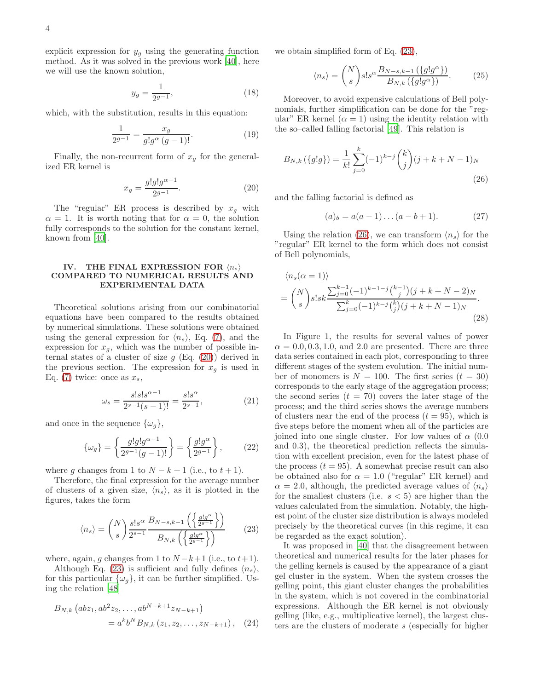$$
y_g = \frac{1}{2^{g-1}},\tag{18}
$$

which, with the substitution, results in this equation:

$$
\frac{1}{2^{g-1}} = \frac{x_g}{g!g^{\alpha}(g-1)!}.
$$
 (19)

Finally, the non-recurrent form of  $x_g$  for the generalized ER kernel is

<span id="page-3-0"></span>
$$
x_g = \frac{g!g!g^{\alpha - 1}}{2^{g-1}}.\tag{20}
$$

The "regular" ER process is described by  $x<sub>g</sub>$  with  $\alpha = 1$ . It is worth noting that for  $\alpha = 0$ , the solution fully corresponds to the solution for the constant kernel, known from [\[40\]](#page-10-0).

# IV. THE FINAL EXPRESSION FOR  $\langle n_s \rangle$ COMPARED TO NUMERICAL RESULTS AND EXPERIMENTAL DATA

Theoretical solutions arising from our combinatorial equations have been compared to the results obtained by numerical simulations. These solutions were obtained using the general expression for  $\langle n_s \rangle$ , Eq. [\(7\)](#page-1-2), and the expression for  $x_g$ , which was the number of possible internal states of a cluster of size  $g$  (Eq. [\(20\)](#page-3-0)) derived in the previous section. The expression for  $x_g$  is used in Eq. [\(7\)](#page-1-2) twice: once as  $x_s$ ,

$$
\omega_s = \frac{s! s! s^{\alpha - 1}}{2^{s - 1}(s - 1)!} = \frac{s! s^{\alpha}}{2^{s - 1}},\tag{21}
$$

and once in the sequence  $\{\omega_a\},\$ 

$$
\{\omega_g\} = \left\{\frac{g!g!g^{\alpha-1}}{2^{g-1}(g-1)!}\right\} = \left\{\frac{g!g^{\alpha}}{2^{g-1}}\right\},\qquad(22)
$$

where g changes from 1 to  $N - k + 1$  (i.e., to  $t + 1$ ).

Therefore, the final expression for the average number of clusters of a given size,  $\langle n_s \rangle$ , as it is plotted in the figures, takes the form

<span id="page-3-1"></span>
$$
\langle n_s \rangle = {N \choose s} \frac{s! s^{\alpha}}{2^{s-1}} \frac{B_{N-s,k-1} \left( \left\{ \frac{g! g^{\alpha}}{2^{g-1}} \right\} \right)}{B_{N,k} \left( \left\{ \frac{g! g^{\alpha}}{2^{g-1}} \right\} \right)}
$$
(23)

where, again, q changes from 1 to  $N-k+1$  (i.e., to  $t+1$ ).

Although Eq. [\(23\)](#page-3-1) is sufficient and fully defines  $\langle n_s \rangle$ , for this particular  $\{\omega_g\}$ , it can be further simplified. Using the relation [\[48](#page-8-2)]

$$
B_{N,k} (abz_1, ab^2z_2, \dots, ab^{N-k+1}z_{N-k+1})
$$
  
=  $a^k b^N B_{N,k} (z_1, z_2, \dots, z_{N-k+1}),$  (24)

we obtain simplified form of Eq. [\(23\)](#page-3-1),

$$
\langle n_s \rangle = {N \choose s} s! s^{\alpha} \frac{B_{N-s,k-1} (\lbrace g! g^{\alpha} \rbrace)}{B_{N,k} (\lbrace g! g^{\alpha} \rbrace)}.
$$
 (25)

Moreover, to avoid expensive calculations of Bell polynomials, further simplification can be done for the "regular" ER kernel  $(\alpha = 1)$  using the identity relation with the so–called falling factorial [\[49](#page-8-3)]. This relation is

$$
B_{N,k}(\{g!g\}) = \frac{1}{k!} \sum_{j=0}^{k} (-1)^{k-j} {k \choose j} (j+k+N-1)_N
$$
\n(26)

and the falling factorial is defined as

<span id="page-3-3"></span><span id="page-3-2"></span>
$$
(a)_b = a(a-1)\dots(a-b+1). \tag{27}
$$

Using the relation [\(26\)](#page-3-2), we can transform  $\langle n_s \rangle$  for the "regular" ER kernel to the form which does not consist of Bell polynomials,

$$
\langle n_s(\alpha = 1) \rangle
$$
  
=  $\binom{N}{s} s! s k \frac{\sum_{j=0}^{k-1} (-1)^{k-1-j} \binom{k-1}{j} (j+k+N-2) N}{\sum_{j=0}^{k} (-1)^{k-j} \binom{k}{j} (j+k+N-1) N}.$  (28)

In Figure 1, the results for several values of power  $\alpha = 0.0, 0.3, 1.0, \text{ and } 2.0 \text{ are presented. There are three$ data series contained in each plot, corresponding to three different stages of the system evolution. The initial number of monomers is  $N = 100$ . The first series  $(t = 30)$ corresponds to the early stage of the aggregation process; the second series  $(t = 70)$  covers the later stage of the process; and the third series shows the average numbers of clusters near the end of the process  $(t = 95)$ , which is five steps before the moment when all of the particles are joined into one single cluster. For low values of  $\alpha$  (0.0) and 0.3), the theoretical prediction reflects the simulation with excellent precision, even for the latest phase of the process  $(t = 95)$ . A somewhat precise result can also be obtained also for  $\alpha = 1.0$  ("regular" ER kernel) and  $\alpha = 2.0$ , although, the predicted average values of  $\langle n_s \rangle$ for the smallest clusters (i.e.  $s < 5$ ) are higher than the values calculated from the simulation. Notably, the highest point of the cluster size distribution is always modeled precisely by the theoretical curves (in this regime, it can be regarded as the exact solution).

It was proposed in [\[40\]](#page-10-0) that the disagreement between theoretical and numerical results for the later phases for the gelling kernels is caused by the appearance of a giant gel cluster in the system. When the system crosses the gelling point, this giant cluster changes the probabilities in the system, which is not covered in the combinatorial expressions. Although the ER kernel is not obviously gelling (like, e.g., multiplicative kernel), the largest clusters are the clusters of moderate s (especially for higher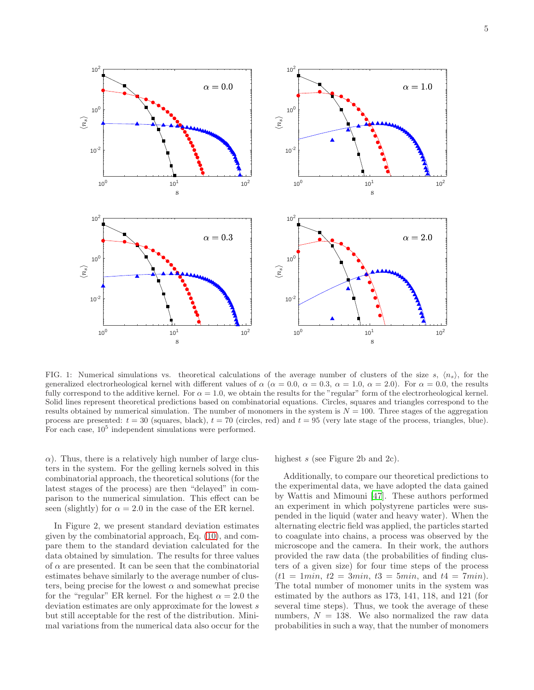

FIG. 1: Numerical simulations vs. theoretical calculations of the average number of clusters of the size s,  $\langle n_s \rangle$ , for the generalized electrorheological kernel with different values of  $\alpha$  ( $\alpha = 0.0$ ,  $\alpha = 0.3$ ,  $\alpha = 1.0$ ,  $\alpha = 2.0$ ). For  $\alpha = 0.0$ , the results fully correspond to the additive kernel. For  $\alpha = 1.0$ , we obtain the results for the "regular" form of the electrorheological kernel. Solid lines represent theoretical predictions based on combinatorial equations. Circles, squares and triangles correspond to the results obtained by numerical simulation. The number of monomers in the system is  $N = 100$ . Three stages of the aggregation process are presented:  $t = 30$  (squares, black),  $t = 70$  (circles, red) and  $t = 95$  (very late stage of the process, triangles, blue). For each case,  $10^5$  independent simulations were performed.

 $\alpha$ ). Thus, there is a relatively high number of large clusters in the system. For the gelling kernels solved in this combinatorial approach, the theoretical solutions (for the latest stages of the process) are then "delayed" in comparison to the numerical simulation. This effect can be seen (slightly) for  $\alpha = 2.0$  in the case of the ER kernel.

In Figure 2, we present standard deviation estimates given by the combinatorial approach, Eq. [\(10\)](#page-2-2), and compare them to the standard deviation calculated for the data obtained by simulation. The results for three values of  $\alpha$  are presented. It can be seen that the combinatorial estimates behave similarly to the average number of clusters, being precise for the lowest  $\alpha$  and somewhat precise for the "regular" ER kernel. For the highest  $\alpha = 2.0$  the deviation estimates are only approximate for the lowest s but still acceptable for the rest of the distribution. Minimal variations from the numerical data also occur for the highest s (see Figure 2b and 2c).

Additionally, to compare our theoretical predictions to the experimental data, we have adopted the data gained by Wattis and Mimouni [\[47\]](#page-8-0). These authors performed an experiment in which polystyrene particles were suspended in the liquid (water and heavy water). When the alternating electric field was applied, the particles started to coagulate into chains, a process was observed by the microscope and the camera. In their work, the authors provided the raw data (the probabilities of finding clusters of a given size) for four time steps of the process  $(t1 = 1min, t2 = 3min, t3 = 5min,$  and  $t4 = 7min$ . The total number of monomer units in the system was estimated by the authors as 173, 141, 118, and 121 (for several time steps). Thus, we took the average of these numbers,  $N = 138$ . We also normalized the raw data probabilities in such a way, that the number of monomers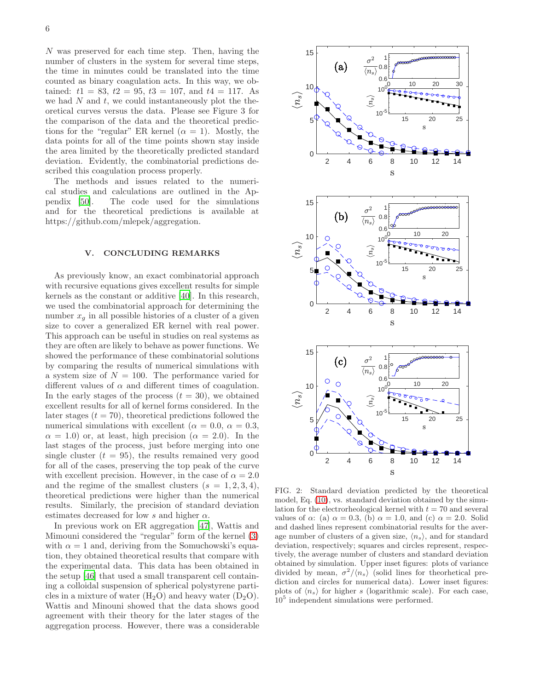N was preserved for each time step. Then, having the number of clusters in the system for several time steps, the time in minutes could be translated into the time counted as binary coagulation acts. In this way, we obtained:  $t1 = 83$ ,  $t2 = 95$ ,  $t3 = 107$ , and  $t4 = 117$ . As we had  $N$  and  $t$ , we could instantaneously plot the theoretical curves versus the data. Please see Figure 3 for the comparison of the data and the theoretical predictions for the "regular" ER kernel  $(\alpha = 1)$ . Mostly, the data points for all of the time points shown stay inside the area limited by the theoretically predicted standard deviation. Evidently, the combinatorial predictions described this coagulation process properly.

The methods and issues related to the numerical studies and calculations are outlined in the Appendix [\[50](#page-8-1)]. The code used for the simulations and for the theoretical predictions is available at https://github.com/mlepek/aggregation.

# V. CONCLUDING REMARKS

As previously know, an exact combinatorial approach with recursive equations gives excellent results for simple kernels as the constant or additive [\[40\]](#page-10-0). In this research, we used the combinatorial approach for determining the number  $x_g$  in all possible histories of a cluster of a given size to cover a generalized ER kernel with real power. This approach can be useful in studies on real systems as they are often are likely to behave as power functions. We showed the performance of these combinatorial solutions by comparing the results of numerical simulations with a system size of  $N = 100$ . The performance varied for different values of  $\alpha$  and different times of coagulation. In the early stages of the process  $(t = 30)$ , we obtained excellent results for all of kernel forms considered. In the later stages  $(t = 70)$ , theoretical predictions followed the numerical simulations with excellent ( $\alpha = 0.0, \alpha = 0.3$ ,  $\alpha = 1.0$ ) or, at least, high precision ( $\alpha = 2.0$ ). In the last stages of the process, just before merging into one single cluster  $(t = 95)$ , the results remained very good for all of the cases, preserving the top peak of the curve with excellent precision. However, in the case of  $\alpha = 2.0$ and the regime of the smallest clusters  $(s = 1, 2, 3, 4)$ , theoretical predictions were higher than the numerical results. Similarly, the precision of standard deviation estimates decreased for low s and higher  $\alpha$ .

In previous work on ER aggregation [\[47](#page-8-0)], Wattis and Mimouni considered the "regular" form of the kernel [\(3\)](#page-1-1) with  $\alpha = 1$  and, deriving from the Somuchowski's equation, they obtained theoretical results that compare with the experimental data. This data has been obtained in the setup [\[46\]](#page-8-4) that used a small transparent cell containing a colloidal suspension of spherical polystyrene particles in a mixture of water  $(H_2O)$  and heavy water  $(D_2O)$ . Wattis and Minouni showed that the data shows good agreement with their theory for the later stages of the aggregation process. However, there was a considerable



FIG. 2: Standard deviation predicted by the theoretical model, Eq. [\(10\)](#page-2-2), vs. standard deviation obtained by the simulation for the electrorheological kernel with  $t = 70$  and several values of  $\alpha$ : (a)  $\alpha = 0.3$ , (b)  $\alpha = 1.0$ , and (c)  $\alpha = 2.0$ . Solid and dashed lines represent combinatorial results for the average number of clusters of a given size,  $\langle n_s \rangle$ , and for standard deviation, respectively; squares and circles represent, respectively, the average number of clusters and standard deviation obtained by simulation. Upper inset figures: plots of variance divided by mean,  $\sigma^2/\langle n_s \rangle$  (solid lines for theorhetical prediction and circles for numerical data). Lower inset figures: plots of  $\langle n_s \rangle$  for higher s (logarithmic scale). For each case,  $10<sup>5</sup>$  independent simulations were performed.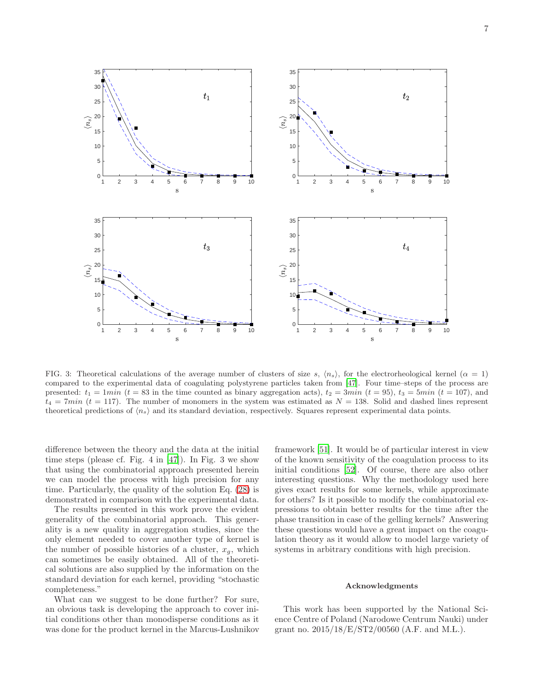7



FIG. 3: Theoretical calculations of the average number of clusters of size s,  $\langle n_s \rangle$ , for the electrorheological kernel ( $\alpha = 1$ ) compared to the experimental data of coagulating polystyrene particles taken from [\[47](#page-8-0)]. Four time–steps of the process are presented:  $t_1 = 1min$  ( $t = 83$  in the time counted as binary aggregation acts),  $t_2 = 3min$  ( $t = 95$ ),  $t_3 = 5min$  ( $t = 107$ ), and  $t_4 = 7min$  (t = 117). The number of monomers in the system was estimated as  $N = 138$ . Solid and dashed lines represent theoretical predictions of  $\langle n_s \rangle$  and its standard deviation, respectively. Squares represent experimental data points.

difference between the theory and the data at the initial time steps (please cf. Fig. 4 in [\[47\]](#page-8-0)). In Fig. 3 we show that using the combinatorial approach presented herein we can model the process with high precision for any time. Particularly, the quality of the solution Eq. [\(28\)](#page-3-3) is demonstrated in comparison with the experimental data.

The results presented in this work prove the evident generality of the combinatorial approach. This generality is a new quality in aggregation studies, since the only element needed to cover another type of kernel is the number of possible histories of a cluster,  $x_g$ , which can sometimes be easily obtained. All of the theoretical solutions are also supplied by the information on the standard deviation for each kernel, providing "stochastic completeness."

What can we suggest to be done further? For sure, an obvious task is developing the approach to cover initial conditions other than monodisperse conditions as it was done for the product kernel in the Marcus-Lushnikov framework [\[51](#page-8-5)]. It would be of particular interest in view of the known sensitivity of the coagulation process to its initial conditions [\[52\]](#page-8-6). Of course, there are also other interesting questions. Why the methodology used here gives exact results for some kernels, while approximate for others? Is it possible to modify the combinatorial expressions to obtain better results for the time after the phase transition in case of the gelling kernels? Answering these questions would have a great impact on the coagulation theory as it would allow to model large variety of systems in arbitrary conditions with high precision.

#### Acknowledgments

This work has been supported by the National Science Centre of Poland (Narodowe Centrum Nauki) under grant no.  $2015/18/E/ST2/00560$  (A.F. and M.L.).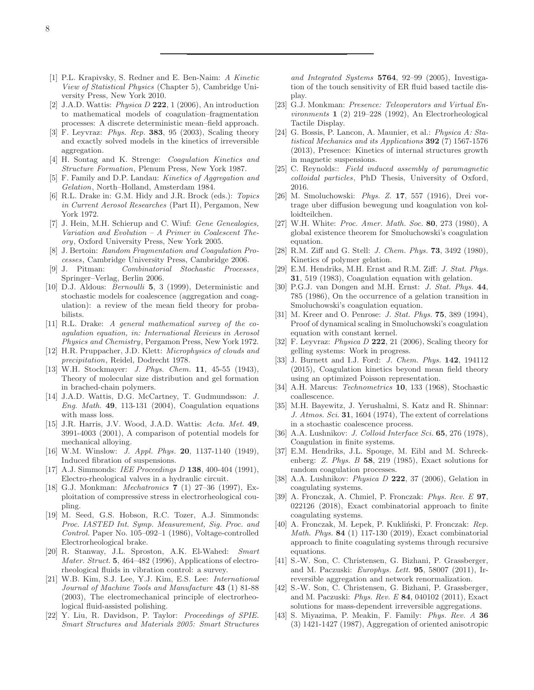- <span id="page-7-0"></span>[1] P.L. Krapivsky, S. Redner and E. Ben-Naim: *A Kinetic View of Statistical Physics* (Chapter 5), Cambridge University Press, New York 2010.
- [2] J.A.D. Wattis: *Physica D* 222, 1 (2006), An introduction to mathematical models of coagulation–fragmentation processes: A discrete deterministic mean–field approach.
- <span id="page-7-1"></span>[3] F. Leyvraz: *Phys. Rep.* 383, 95 (2003), Scaling theory and exactly solved models in the kinetics of irreversible aggregation.
- <span id="page-7-2"></span>[4] H. Sontag and K. Strenge: *Coagulation Kinetics and Structure Formation*, Plenum Press, New York 1987.
- [5] F. Family and D.P. Landau: *Kinetics of Aggregation and Gelation*, North–Holland, Amsterdam 1984.
- <span id="page-7-3"></span>[6] R.L. Drake in: G.M. Hidy and J.R. Brock (eds.): *Topics in Current Aerosol Researches* (Part II), Pergamon, New York 1972.
- <span id="page-7-4"></span>[7] J. Hein, M.H. Schierup and C. Wiuf: *Gene Genealogies, Variation and Evolution – A Primer in Coalescent Theory*, Oxford University Press, New York 2005.
- <span id="page-7-5"></span>[8] J. Bertoin: *Random Fragmentation and Coagulation Processes*, Cambridge University Press, Cambridge 2006.
- [9] J. Pitman: *Combinatorial Stochastic Processes*, Springer–Verlag, Berlin 2006.
- <span id="page-7-6"></span>[10] D.J. Aldous: *Bernoulli* 5, 3 (1999), Deterministic and stochastic models for coalescence (aggregation and coagulation): a review of the mean field theory for probabilists.
- <span id="page-7-7"></span>[11] R.L. Drake: *A general mathematical survey of the coagulation equation, in: International Reviews in Aerosol Physics and Chemistry*, Pergamon Press, New York 1972.
- <span id="page-7-8"></span>[12] H.R. Pruppacher, J.D. Klett: *Microphysics of clouds and precipitation*, Reidel, Dodrecht 1978.
- <span id="page-7-9"></span>[13] W.H. Stockmayer: *J. Phys. Chem.* 11, 45-55 (1943), Theory of molecular size distribution and gel formation in brached-chain polymers.
- <span id="page-7-10"></span>[14] J.A.D. Wattis, D.G. McCartney, T. Gudmundsson: *J. Eng. Math.* 49, 113-131 (2004), Coagulation equations with mass loss.
- <span id="page-7-11"></span>[15] J.R. Harris, J.V. Wood, J.A.D. Wattis: *Acta. Met.* 49, 3991-4003 (2001), A comparison of potential models for mechanical alloying.
- <span id="page-7-12"></span>[16] W.M. Winslow: *J. Appl. Phys.* 20, 1137-1140 (1949), Induced fibration of suspensions.
- <span id="page-7-13"></span>[17] A.J. Simmonds: *IEE Proceedings D* 138, 400-404 (1991), Electro-rheological valves in a hydraulic circuit.
- <span id="page-7-14"></span>[18] G.J. Monkman: *Mechatronics* 7 (1) 27–36 (1997), Exploitation of compressive stress in electrorheological coupling.
- <span id="page-7-15"></span>[19] M. Seed, G.S. Hobson, R.C. Tozer, A.J. Simmonds: *Proc. IASTED Int. Symp. Measurement, Sig. Proc. and Control.* Paper No. 105–092–1 (1986), Voltage-controlled Electrorheological brake.
- <span id="page-7-16"></span>[20] R. Stanway, J.L. Sproston, A.K. El-Wahed: *Smart Mater. Struct.* 5, 464–482 (1996), Applications of electrorheological fluids in vibration control: a survey.
- <span id="page-7-17"></span>[21] W.B. Kim, S.J. Lee, Y.J. Kim, E.S. Lee: *International Journal of Machine Tools and Manufacture* 43 (1) 81-88 (2003), The electromechanical principle of electrorheological fluid-assisted polishing.
- <span id="page-7-18"></span>[22] Y. Liu, R. Davidson, P. Taylor: *Proceedings of SPIE. Smart Structures and Materials 2005: Smart Structures*

*and Integrated Systems* 5764, 92–99 (2005), Investigation of the touch sensitivity of ER fluid based tactile display.

- <span id="page-7-19"></span>[23] G.J. Monkman: *Presence: Teleoperators and Virtual Environments* 1 (2) 219–228 (1992), An Electrorheological Tactile Display.
- <span id="page-7-20"></span>[24] G. Bossis, P. Lancon, A. Maunier, et al.: *Physica A: Statistical Mechanics and its Applications* 392 (7) 1567-1576 (2013), Presence: Kinetics of internal structures growth in magnetic suspensions.
- <span id="page-7-21"></span>[25] C. Reynolds:: *Field induced assembly of paramagnetic colloidal particles*, PhD Thesis, University of Oxford, 2016.
- <span id="page-7-22"></span>[26] M. Smoluchowski: *Phys. Z.* 17, 557 (1916), Drei vortrage uber diffusion bewegung und koagulation von kolloidteilchen.
- [27] W.H. White: *Proc. Amer. Math. Soc.* 80, 273 (1980), A global existence theorem for Smoluchowski's coagulation equation.
- [28] R.M. Ziff and G. Stell: *J. Chem. Phys.* 73, 3492 (1980), Kinetics of polymer gelation.
- [29] E.M. Hendriks, M.H. Ernst and R.M. Ziff: *J. Stat. Phys.* 31, 519 (1983), Coagulation equation with gelation.
- [30] P.G.J. van Dongen and M.H. Ernst: *J. Stat. Phys.* 44, 785 (1986), On the occurrence of a gelation transition in Smoluchowski's coagulation equation.
- [31] M. Kreer and O. Penrose: *J. Stat. Phys.* 75, 389 (1994), Proof of dynamical scaling in Smoluchowski's coagulation equation with constant kernel.
- [32] F. Leyvraz: *Physica D* 222, 21 (2006), Scaling theory for gelling systems: Work in progress.
- <span id="page-7-23"></span>[33] J. Burnett and I.J. Ford: *J. Chem. Phys.* 142, 194112 (2015), Coagulation kinetics beyond mean field theory using an optimized Poisson representation.
- <span id="page-7-24"></span>[34] A.H. Marcus: *Technometrics* 10, 133 (1968), Stochastic coallescence.
- [35] M.H. Bayewitz, J. Yerushalmi, S. Katz and R. Shinnar: *J. Atmos. Sci.* 31, 1604 (1974), The extent of correlations in a stochastic coalescence process.
- [36] A.A. Lushnikov: *J. Colloid Interface Sci.* 65, 276 (1978), Coagulation in finite systems.
- [37] E.M. Hendriks, J.L. Spouge, M. Eibl and M. Schreckenberg: *Z. Phys. B* 58, 219 (1985), Exact solutions for random coagulation processes.
- <span id="page-7-25"></span>[38] A.A. Lushnikov: *Physica D* 222, 37 (2006), Gelation in coagulating systems.
- <span id="page-7-26"></span>[39] A. Fronczak, A. Chmiel, P. Fronczak: *Phys. Rev. E* 97, 022126 (2018), Exact combinatorial approach to finite coagulating systems.
- [40] A. Fronczak, M. Lepek, P. Kukliński, P. Fronczak: *Rep. Math. Phys.* 84 (1) 117-130 (2019), Exact combinatorial approach to finite coagulating systems through recursive equations.
- [41] S.-W. Son, C. Christensen, G. Bizhani, P. Grassberger, and M. Paczuski: *Europhys. Lett.* 95, 58007 (2011), Irreversible aggregation and network renormalization.
- <span id="page-7-27"></span>[42] S.-W. Son, C. Christensen, G. Bizhani, P. Grassberger, and M. Paczuski: *Phys. Rev. E* 84, 040102 (2011), Exact solutions for mass-dependent irreversible aggregations.
- <span id="page-7-28"></span>[43] S. Miyazima, P. Meakin, F. Family: *Phys. Rev. A* 36 (3) 1421-1427 (1987), Aggregation of oriented anisotropic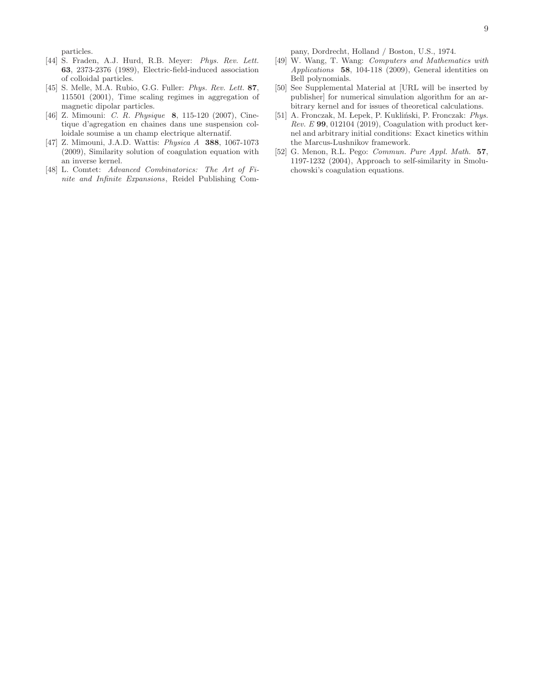particles.

- [44] S. Fraden, A.J. Hurd, R.B. Meyer: *Phys. Rev. Lett.* 63, 2373-2376 (1989), Electric-field-induced association of colloidal particles.
- [45] S. Melle, M.A. Rubio, G.G. Fuller: *Phys. Rev. Lett.* 87, 115501 (2001), Time scaling regimes in aggregation of magnetic dipolar particles.
- <span id="page-8-4"></span>[46] Z. Mimouni: *C. R. Physique* 8, 115-120 (2007), Cinetique d'agregation en chaines dans une suspension colloidale soumise a un champ electrique alternatif.
- <span id="page-8-0"></span>[47] Z. Mimouni, J.A.D. Wattis: *Physica A* 388, 1067-1073 (2009), Similarity solution of coagulation equation with an inverse kernel.
- <span id="page-8-2"></span>[48] L. Comtet: *Advanced Combinatorics: The Art of Finite and Infinite Expansions*, Reidel Publishing Com-

pany, Dordrecht, Holland / Boston, U.S., 1974.

- <span id="page-8-3"></span>[49] W. Wang, T. Wang: *Computers and Mathematics with Applications* 58, 104-118 (2009), General identities on Bell polynomials.
- <span id="page-8-1"></span>[50] See Supplemental Material at [URL will be inserted by publisher] for numerical simulation algorithm for an arbitrary kernel and for issues of theoretical calculations.
- <span id="page-8-5"></span>[51] A. Fronczak, M. Lepek, P. Kukliński, P. Fronczak: Phys. *Rev. E* 99, 012104 (2019), Coagulation with product kernel and arbitrary initial conditions: Exact kinetics within the Marcus-Lushnikov framework.
- <span id="page-8-6"></span>[52] G. Menon, R.L. Pego: *Commun. Pure Appl. Math.* 57, 1197-1232 (2004), Approach to self-similarity in Smoluchowski's coagulation equations.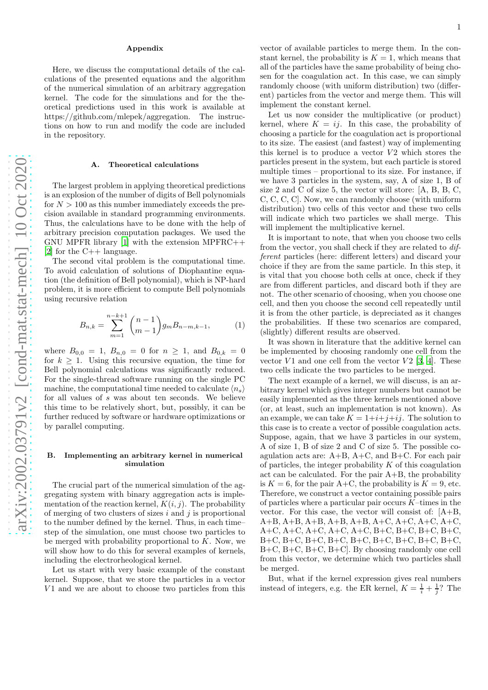### Appendix

Here, we discuss the computational details of the calculations of the presented equations and the algorithm of the numerical simulation of an arbitrary aggregation kernel. The code for the simulations and for the theoretical predictions used in this work is available at https://github.com/mlepek/aggregation. The instructions on how to run and modify the code are included in the repository.

#### A. Theoretical calculations

The largest problem in applying theoretical predictions is an explosion of the number of digits of Bell polynomials for  $N > 100$  as this number immediately exceeds the precision available in standard programming environments. Thus, the calculations have to be done with the help of arbitrary precision computation packages. We used the GNU MPFR library [\[1\]](#page-10-1) with the extension MPFRC++ [\[2\]](#page-10-2) for the C++ language.

The second vital problem is the computational time. To avoid calculation of solutions of Diophantine equation (the definition of Bell polynomial), which is NP-hard problem, it is more efficient to compute Bell polynomials using recursive relation

$$
B_{n,k} = \sum_{m=1}^{n-k+1} {n-1 \choose m-1} g_m B_{n-m,k-1},
$$
 (1)

where  $B_{0,0} = 1$ ,  $B_{n,0} = 0$  for  $n \ge 1$ , and  $B_{0,k} = 0$ for  $k \geq 1$ . Using this recursive equation, the time for Bell polynomial calculations was significantly reduced. For the single-thread software running on the single PC machine, the computational time needed to calculate  $\langle n_s \rangle$ for all values of s was about ten seconds. We believe this time to be relatively short, but, possibly, it can be further reduced by software or hardware optimizations or by parallel computing.

### B. Implementing an arbitrary kernel in numerical simulation

The crucial part of the numerical simulation of the aggregating system with binary aggregation acts is implementation of the reaction kernel,  $K(i, j)$ . The probability of merging of two clusters of sizes  $i$  and  $j$  is proportional to the number defined by the kernel. Thus, in each time– step of the simulation, one must choose two particles to be merged with probability proportional to  $K$ . Now, we will show how to do this for several examples of kernels, including the electrorheological kernel.

Let us start with very basic example of the constant kernel. Suppose, that we store the particles in a vector V<sub>1</sub> and we are about to choose two particles from this vector of available particles to merge them. In the constant kernel, the probability is  $K = 1$ , which means that all of the particles have the same probability of being chosen for the coagulation act. In this case, we can simply randomly choose (with uniform distribution) two (different) particles from the vector and merge them. This will implement the constant kernel.

Let us now consider the multiplicative (or product) kernel, where  $K = ij$ . In this case, the probability of choosing a particle for the coagulation act is proportional to its size. The easiest (and fastest) way of implementing this kernel is to produce a vector  $V2$  which stores the particles present in the system, but each particle is stored multiple times – proportional to its size. For instance, if we have 3 particles in the system, say, A of size 1, B of size 2 and C of size 5, the vector will store: [A, B, B, C, C, C, C, C]. Now, we can randomly choose (with uniform distribution) two cells of this vector and these two cells will indicate which two particles we shall merge. This will implement the multiplicative kernel.

It is important to note, that when you choose two cells from the vector, you shall check if they are related to different particles (here: different letters) and discard your choice if they are from the same particle. In this step, it is vital that you choose both cells at once, check if they are from different particles, and discard both if they are not. The other scenario of choosing, when you choose one cell, and then you choose the second cell repeatedly until it is from the other particle, is depreciated as it changes the probabilities. If these two scenarios are compared, (slightly) different results are observed.

It was shown in literature that the additive kernel can be implemented by choosing randomly one cell from the vector  $V1$  and one cell from the vector  $V2$  [\[3,](#page-10-3) [4](#page-10-4)]. These two cells indicate the two particles to be merged.

The next example of a kernel, we will discuss, is an arbitrary kernel which gives integer numbers but cannot be easily implemented as the three kernels mentioned above (or, at least, such an implementation is not known). As an example, we can take  $K = 1+i+i+i$ . The solution to this case is to create a vector of possible coagulation acts. Suppose, again, that we have 3 particles in our system, A of size 1, B of size 2 and C of size 5. The possible coagulation acts are:  $A+B$ ,  $A+C$ , and  $B+C$ . For each pair of particles, the integer probability  $K$  of this coagulation act can be calculated. For the pair A+B, the probability is  $K = 6$ , for the pair A+C, the probability is  $K = 9$ , etc. Therefore, we construct a vector containing possible pairs of particles where a particular pair occurs  $K$ -times in the vector. For this case, the vector will consist of: [A+B, A+B, A+B, A+B, A+B, A+B, A+C, A+C, A+C, A+C, A+C, A+C, A+C, A+C, A+C, B+C, B+C, B+C, B+C, B+C, B+C, B+C, B+C, B+C, B+C, B+C, B+C, B+C, B+C, B+C, B+C, B+C]. By choosing randomly one cell from this vector, we determine which two particles shall be merged.

But, what if the kernel expression gives real numbers instead of integers, e.g. the ER kernel,  $K = \frac{1}{i} + \frac{1}{j}$ ? The